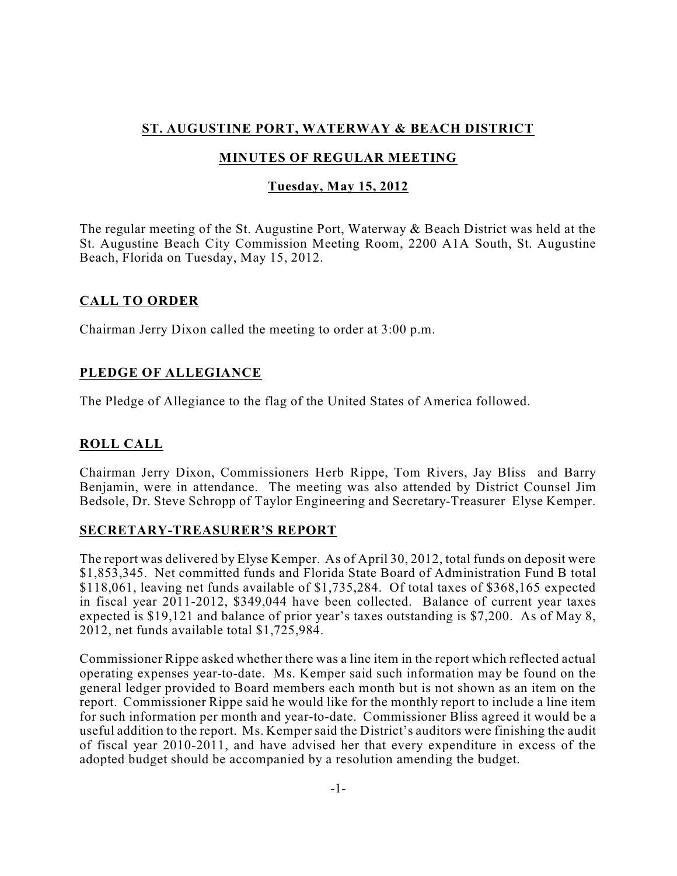# **ST. AUGUSTINE PORT, WATERWAY & BEACH DISTRICT**

# **MINUTES OF REGULAR MEETING**

## **Tuesday, May 15, 2012**

The regular meeting of the St. Augustine Port, Waterway & Beach District was held at the St. Augustine Beach City Commission Meeting Room, 2200 A1A South, St. Augustine Beach, Florida on Tuesday, May 15, 2012.

### **CALL TO ORDER**

Chairman Jerry Dixon called the meeting to order at 3:00 p.m.

## **PLEDGE OF ALLEGIANCE**

The Pledge of Allegiance to the flag of the United States of America followed.

# **ROLL CALL**

Chairman Jerry Dixon, Commissioners Herb Rippe, Tom Rivers, Jay Bliss and Barry Benjamin, were in attendance. The meeting was also attended by District Counsel Jim Bedsole, Dr. Steve Schropp of Taylor Engineering and Secretary-Treasurer Elyse Kemper.

### **SECRETARY-TREASURER'S REPORT**

The report was delivered by Elyse Kemper. As of April 30, 2012, total funds on deposit were \$1,853,345. Net committed funds and Florida State Board of Administration Fund B total \$118,061, leaving net funds available of \$1,735,284. Of total taxes of \$368,165 expected in fiscal year 2011-2012, \$349,044 have been collected. Balance of current year taxes expected is \$19,121 and balance of prior year's taxes outstanding is \$7,200. As of May 8, 2012, net funds available total \$1,725,984.

Commissioner Rippe asked whether there was a line item in the report which reflected actual operating expenses year-to-date. Ms. Kemper said such information may be found on the general ledger provided to Board members each month but is not shown as an item on the report. Commissioner Rippe said he would like for the monthly report to include a line item for such information per month and year-to-date. Commissioner Bliss agreed it would be a useful addition to the report. Ms. Kemper said the District's auditors were finishing the audit of fiscal year 2010-2011, and have advised her that every expenditure in excess of the adopted budget should be accompanied by a resolution amending the budget.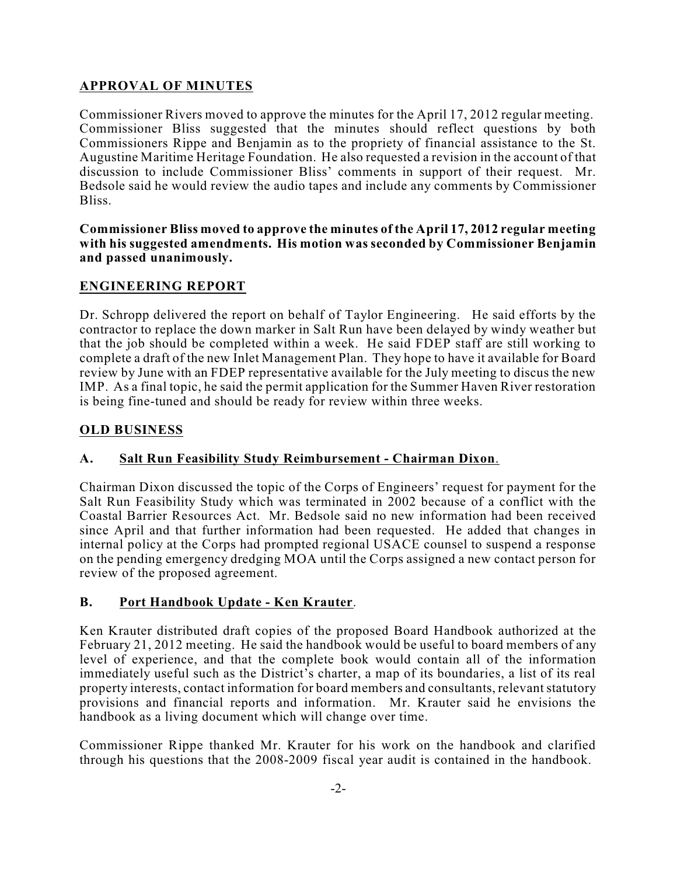## **APPROVAL OF MINUTES**

Commissioner Rivers moved to approve the minutes for the April 17, 2012 regular meeting. Commissioner Bliss suggested that the minutes should reflect questions by both Commissioners Rippe and Benjamin as to the propriety of financial assistance to the St. Augustine Maritime Heritage Foundation. He also requested a revision in the account of that discussion to include Commissioner Bliss' comments in support of their request. Mr. Bedsole said he would review the audio tapes and include any comments by Commissioner Bliss.

**Commissioner Bliss moved to approve the minutes of the April 17, 2012 regular meeting with his suggested amendments. His motion was seconded by Commissioner Benjamin and passed unanimously.**

## **ENGINEERING REPORT**

Dr. Schropp delivered the report on behalf of Taylor Engineering. He said efforts by the contractor to replace the down marker in Salt Run have been delayed by windy weather but that the job should be completed within a week. He said FDEP staff are still working to complete a draft of the new Inlet Management Plan. They hope to have it available for Board review by June with an FDEP representative available for the July meeting to discus the new IMP. As a final topic, he said the permit application for the Summer Haven River restoration is being fine-tuned and should be ready for review within three weeks.

### **OLD BUSINESS**

### **A. Salt Run Feasibility Study Reimbursement - Chairman Dixon**.

Chairman Dixon discussed the topic of the Corps of Engineers' request for payment for the Salt Run Feasibility Study which was terminated in 2002 because of a conflict with the Coastal Barrier Resources Act. Mr. Bedsole said no new information had been received since April and that further information had been requested. He added that changes in internal policy at the Corps had prompted regional USACE counsel to suspend a response on the pending emergency dredging MOA until the Corps assigned a new contact person for review of the proposed agreement.

### **B. Port Handbook Update - Ken Krauter**.

Ken Krauter distributed draft copies of the proposed Board Handbook authorized at the February 21, 2012 meeting. He said the handbook would be useful to board members of any level of experience, and that the complete book would contain all of the information immediately useful such as the District's charter, a map of its boundaries, a list of its real property interests, contact information for board members and consultants, relevant statutory provisions and financial reports and information. Mr. Krauter said he envisions the handbook as a living document which will change over time.

Commissioner Rippe thanked Mr. Krauter for his work on the handbook and clarified through his questions that the 2008-2009 fiscal year audit is contained in the handbook.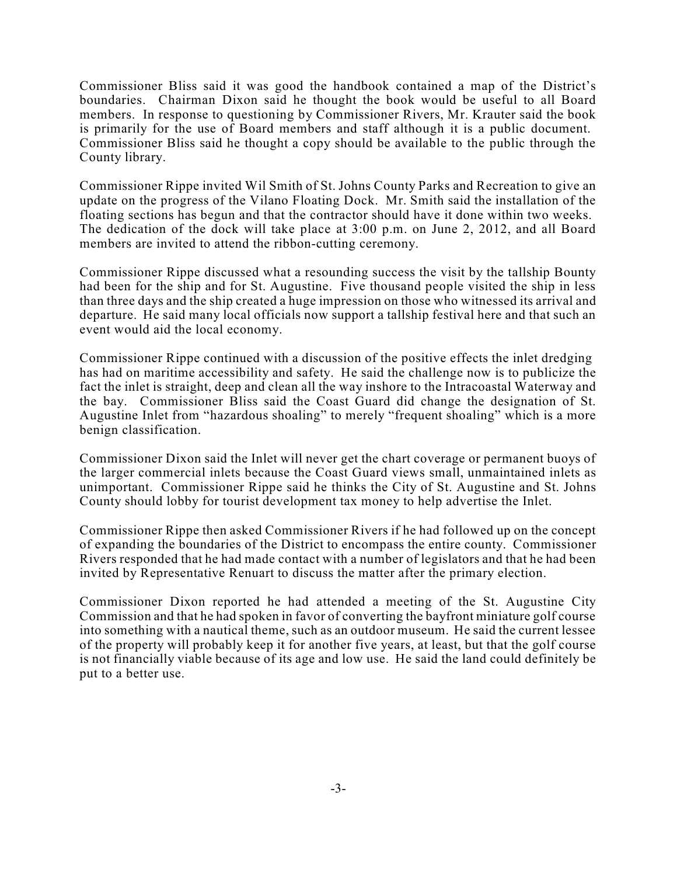Commissioner Bliss said it was good the handbook contained a map of the District's boundaries. Chairman Dixon said he thought the book would be useful to all Board members. In response to questioning by Commissioner Rivers, Mr. Krauter said the book is primarily for the use of Board members and staff although it is a public document. Commissioner Bliss said he thought a copy should be available to the public through the County library.

Commissioner Rippe invited Wil Smith of St. Johns County Parks and Recreation to give an update on the progress of the Vilano Floating Dock. Mr. Smith said the installation of the floating sections has begun and that the contractor should have it done within two weeks. The dedication of the dock will take place at 3:00 p.m. on June 2, 2012, and all Board members are invited to attend the ribbon-cutting ceremony.

Commissioner Rippe discussed what a resounding success the visit by the tallship Bounty had been for the ship and for St. Augustine. Five thousand people visited the ship in less than three days and the ship created a huge impression on those who witnessed its arrival and departure. He said many local officials now support a tallship festival here and that such an event would aid the local economy.

Commissioner Rippe continued with a discussion of the positive effects the inlet dredging has had on maritime accessibility and safety. He said the challenge now is to publicize the fact the inlet is straight, deep and clean all the way inshore to the Intracoastal Waterway and the bay. Commissioner Bliss said the Coast Guard did change the designation of St. Augustine Inlet from "hazardous shoaling" to merely "frequent shoaling" which is a more benign classification.

Commissioner Dixon said the Inlet will never get the chart coverage or permanent buoys of the larger commercial inlets because the Coast Guard views small, unmaintained inlets as unimportant. Commissioner Rippe said he thinks the City of St. Augustine and St. Johns County should lobby for tourist development tax money to help advertise the Inlet.

Commissioner Rippe then asked Commissioner Rivers if he had followed up on the concept of expanding the boundaries of the District to encompass the entire county. Commissioner Rivers responded that he had made contact with a number of legislators and that he had been invited by Representative Renuart to discuss the matter after the primary election.

Commissioner Dixon reported he had attended a meeting of the St. Augustine City Commission and that he had spoken in favor of converting the bayfront miniature golf course into something with a nautical theme, such as an outdoor museum. He said the current lessee of the property will probably keep it for another five years, at least, but that the golf course is not financially viable because of its age and low use. He said the land could definitely be put to a better use.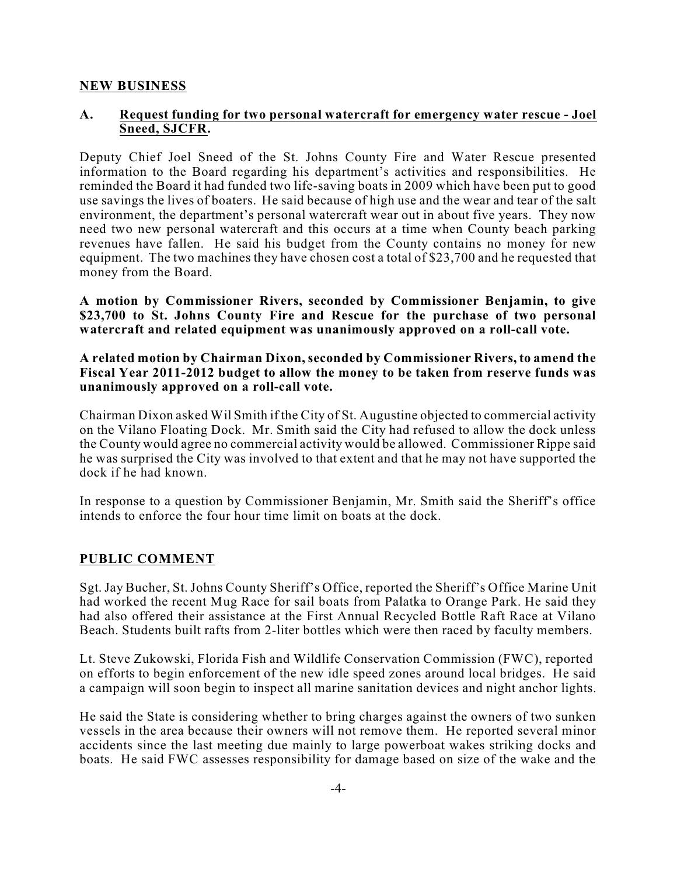#### **NEW BUSINESS**

#### **A. Request funding for two personal watercraft for emergency water rescue - Joel Sneed, SJCFR.**

Deputy Chief Joel Sneed of the St. Johns County Fire and Water Rescue presented information to the Board regarding his department's activities and responsibilities. He reminded the Board it had funded two life-saving boats in 2009 which have been put to good use savings the lives of boaters. He said because of high use and the wear and tear of the salt environment, the department's personal watercraft wear out in about five years. They now need two new personal watercraft and this occurs at a time when County beach parking revenues have fallen. He said his budget from the County contains no money for new equipment. The two machines they have chosen cost a total of \$23,700 and he requested that money from the Board.

**A motion by Commissioner Rivers, seconded by Commissioner Benjamin, to give \$23,700 to St. Johns County Fire and Rescue for the purchase of two personal watercraft and related equipment was unanimously approved on a roll-call vote.**

**A related motion by Chairman Dixon, seconded by Commissioner Rivers, to amend the Fiscal Year 2011-2012 budget to allow the money to be taken from reserve funds was unanimously approved on a roll-call vote.**

Chairman Dixon asked Wil Smith if the City of St. Augustine objected to commercial activity on the Vilano Floating Dock. Mr. Smith said the City had refused to allow the dock unless the County would agree no commercial activity would be allowed. Commissioner Rippe said he was surprised the City was involved to that extent and that he may not have supported the dock if he had known.

In response to a question by Commissioner Benjamin, Mr. Smith said the Sheriff's office intends to enforce the four hour time limit on boats at the dock.

### **PUBLIC COMMENT**

Sgt. Jay Bucher, St. Johns County Sheriff's Office, reported the Sheriff's Office Marine Unit had worked the recent Mug Race for sail boats from Palatka to Orange Park. He said they had also offered their assistance at the First Annual Recycled Bottle Raft Race at Vilano Beach. Students built rafts from 2-liter bottles which were then raced by faculty members.

Lt. Steve Zukowski, Florida Fish and Wildlife Conservation Commission (FWC), reported on efforts to begin enforcement of the new idle speed zones around local bridges. He said a campaign will soon begin to inspect all marine sanitation devices and night anchor lights.

He said the State is considering whether to bring charges against the owners of two sunken vessels in the area because their owners will not remove them. He reported several minor accidents since the last meeting due mainly to large powerboat wakes striking docks and boats. He said FWC assesses responsibility for damage based on size of the wake and the